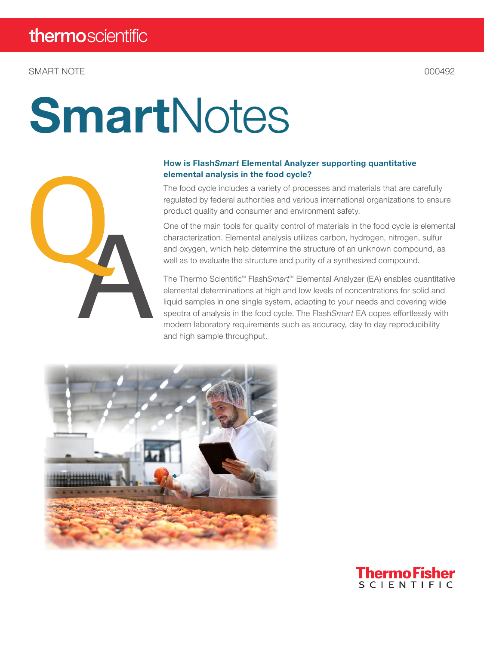SMART NOTE CONSUMING THE CONSUMING STATE OF A SERIES OF A SERIES OF A SERIES OF A SERIES OF A SERIES OF A SERIES OF A SERIES OF A SERIES OF A SERIES OF A SERIES OF A SERIES OF A SERIES OF A SERIES OF A SERIES OF A SERIES O

# **SmartNotes**



#### How is Flash*Smart* Elemental Analyzer supporting quantitative elemental analysis in the food cycle?

The food cycle includes a variety of processes and materials that are carefully regulated by federal authorities and various international organizations to ensure product quality and consumer and environment safety.

One of the main tools for quality control of materials in the food cycle is elemental characterization. Elemental analysis utilizes carbon, hydrogen, nitrogen, sulfur and oxygen, which help determine the structure of an unknown compound, as well as to evaluate the structure and purity of a synthesized compound.

The Thermo Scientific™ Flash*Smart*™ Elemental Analyzer (EA) enables quantitative elemental determinations at high and low levels of concentrations for solid and liquid samples in one single system, adapting to your needs and covering wide spectra of analysis in the food cycle. The Flash*Smart* EA copes effortlessly with modern laboratory requirements such as accuracy, day to day reproducibility and high sample throughput.



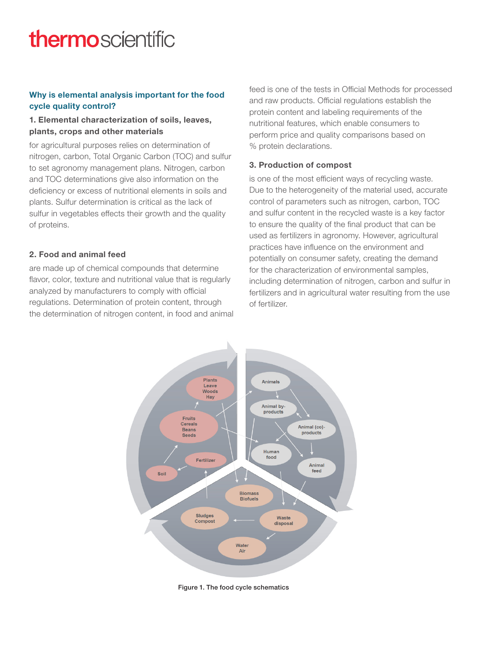## thermoscientific

#### Why is elemental analysis important for the food cycle quality control?

#### 1. Elemental characterization of soils, leaves, plants, crops and other materials

for agricultural purposes relies on determination of nitrogen, carbon, Total Organic Carbon (TOC) and sulfur to set agronomy management plans. Nitrogen, carbon and TOC determinations give also information on the deficiency or excess of nutritional elements in soils and plants. Sulfur determination is critical as the lack of sulfur in vegetables effects their growth and the quality of proteins.

#### 2. Food and animal feed

are made up of chemical compounds that determine flavor, color, texture and nutritional value that is regularly analyzed by manufacturers to comply with official regulations. Determination of protein content, through the determination of nitrogen content, in food and animal feed is one of the tests in Official Methods for processed and raw products. Official regulations establish the protein content and labeling requirements of the nutritional features, which enable consumers to perform price and quality comparisons based on % protein declarations.

#### 3. Production of compost

is one of the most efficient ways of recycling waste. Due to the heterogeneity of the material used, accurate control of parameters such as nitrogen, carbon, TOC and sulfur content in the recycled waste is a key factor to ensure the quality of the final product that can be used as fertilizers in agronomy. However, agricultural practices have influence on the environment and potentially on consumer safety, creating the demand for the characterization of environmental samples, including determination of nitrogen, carbon and sulfur in fertilizers and in agricultural water resulting from the use of fertilizer.



Figure 1. The food cycle schematics